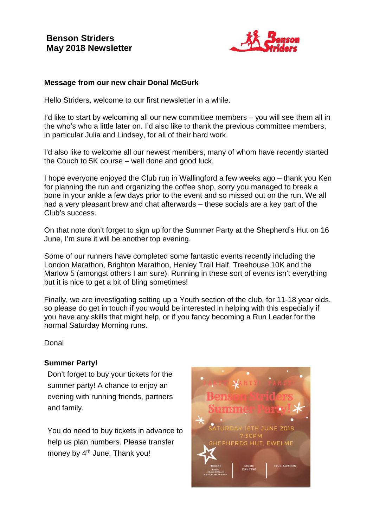

#### **Message from our new chair Donal McGurk**

Hello Striders, welcome to our first newsletter in a while.

I'd like to start by welcoming all our new committee members – you will see them all in the who's who a little later on. I'd also like to thank the previous committee members, in particular Julia and Lindsey, for all of their hard work.

I'd also like to welcome all our newest members, many of whom have recently started the Couch to 5K course – well done and good luck.

I hope everyone enjoyed the Club run in Wallingford a few weeks ago – thank you Ken for planning the run and organizing the coffee shop, sorry you managed to break a bone in your ankle a few days prior to the event and so missed out on the run. We all had a very pleasant brew and chat afterwards – these socials are a key part of the Club's success.

On that note don't forget to sign up for the Summer Party at the Shepherd's Hut on 16 June, I'm sure it will be another top evening.

Some of our runners have completed some fantastic events recently including the London Marathon, Brighton Marathon, Henley Trail Half, Treehouse 10K and the Marlow 5 (amongst others I am sure). Running in these sort of events isn't everything but it is nice to get a bit of bling sometimes!

Finally, we are investigating setting up a Youth section of the club, for 11-18 year olds, so please do get in touch if you would be interested in helping with this especially if you have any skills that might help, or if you fancy becoming a Run Leader for the normal Saturday Morning runs.

Donal

#### **Summer Party!**

Don't forget to buy your tickets for the summer party! A chance to enjoy an evening with running friends, partners and family.

You do need to buy tickets in advance to help us plan numbers. Please transfer money by 4<sup>th</sup> June. Thank you!

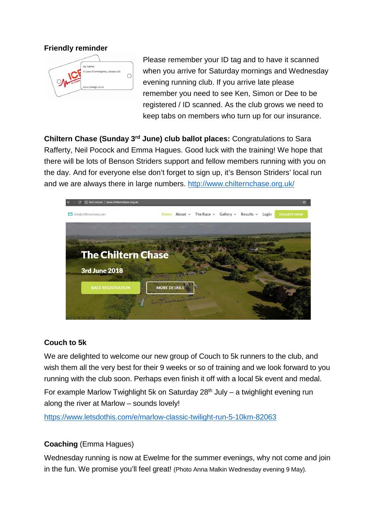**Friendly reminder** 



Please remember your ID tag and to have it scanned when you arrive for Saturday mornings and Wednesday evening running club. If you arrive late please remember you need to see Ken, Simon or Dee to be registered / ID scanned. As the club grows we need to keep tabs on members who turn up for our insurance.

**Chiltern Chase (Sunday 3rd June) club ballot places:** Congratulations to Sara Rafferty, Neil Pocock and Emma Hagues. Good luck with the training! We hope that there will be lots of Benson Striders support and fellow members running with you on the day. And for everyone else don't forget to sign up, it's Benson Striders' local run and we are always there in large numbers. http://www.chilternchase.org.uk/



# **Couch to 5k**

We are delighted to welcome our new group of Couch to 5k runners to the club, and wish them all the very best for their 9 weeks or so of training and we look forward to you running with the club soon. Perhaps even finish it off with a local 5k event and medal.

For example Marlow Twighlight 5k on Saturday  $28<sup>th</sup>$  July – a twighlight evening run along the river at Marlow – sounds lovely!

https://www.letsdothis.com/e/marlow-classic-twilight-run-5-10km-82063

# **Coaching** (Emma Hagues)

Wednesday running is now at Ewelme for the summer evenings, why not come and join in the fun. We promise you'll feel great! (Photo Anna Malkin Wednesday evening 9 May).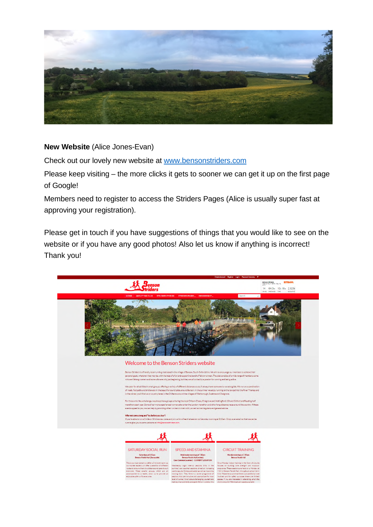

#### **New Website** (Alice Jones-Evan)

Check out our lovely new website at www.bensonstriders.com

Please keep visiting – the more clicks it gets to sooner we can get it up on the first page of Google!

Members need to register to access the Striders Pages (Alice is usually super fast at approving your registration).

Please get in touch if you have suggestions of things that you would like to see on the website or if you have any good photos! Also let us know if anything is incorrect! Thank you!

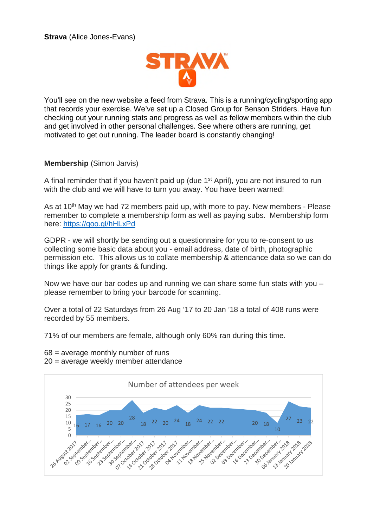

You'll see on the new website a feed from Strava. This is a running/cycling/sporting app that records your exercise. We've set up a Closed Group for Benson Striders. Have fun checking out your running stats and progress as well as fellow members within the club and get involved in other personal challenges. See where others are running, get motivated to get out running. The leader board is constantly changing!

#### **Membership** (Simon Jarvis)

A final reminder that if you haven't paid up (due 1<sup>st</sup> April), you are not insured to run with the club and we will have to turn you away. You have been warned!

As at 10<sup>th</sup> May we had 72 members paid up, with more to pay. New members - Please remember to complete a membership form as well as paying subs. Membership form here: https://goo.gl/hHLxPd

GDPR - we will shortly be sending out a questionnaire for you to re-consent to us collecting some basic data about you - email address, date of birth, photographic permission etc. This allows us to collate membership & attendance data so we can do things like apply for grants & funding.

Now we have our bar codes up and running we can share some fun stats with you – please remember to bring your barcode for scanning.

Over a total of 22 Saturdays from 26 Aug '17 to 20 Jan '18 a total of 408 runs were recorded by 55 members.

71% of our members are female, although only 60% ran during this time.

 $68$  = average monthly number of runs 20 = average weekly member attendance

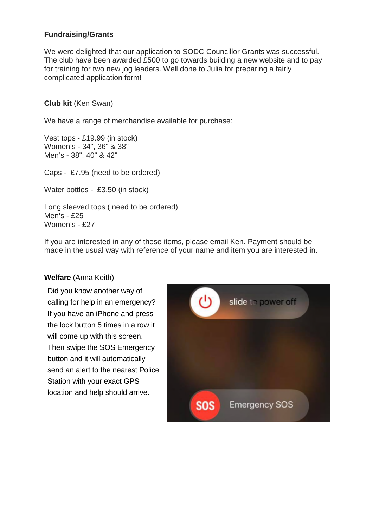### **Fundraising/Grants**

We were delighted that our application to SODC Councillor Grants was successful. The club have been awarded £500 to go towards building a new website and to pay for training for two new jog leaders. Well done to Julia for preparing a fairly complicated application form!

#### **Club kit** (Ken Swan)

We have a range of merchandise available for purchase:

Vest tops - £19.99 (in stock) Women's - 34", 36" & 38" Men's - 38", 40" & 42"

Caps - £7.95 (need to be ordered)

Water bottles - £3.50 (in stock)

Long sleeved tops ( need to be ordered) Men's - £25 Women's - £27

If you are interested in any of these items, please email Ken. Payment should be made in the usual way with reference of your name and item you are interested in.

#### **Welfare** (Anna Keith)

Did you know another way of calling for help in an emergency? If you have an iPhone and press the lock button 5 times in a row it will come up with this screen. Then swipe the SOS Emergency button and it will automatically send an alert to the nearest Police Station with your exact GPS location and help should arrive.

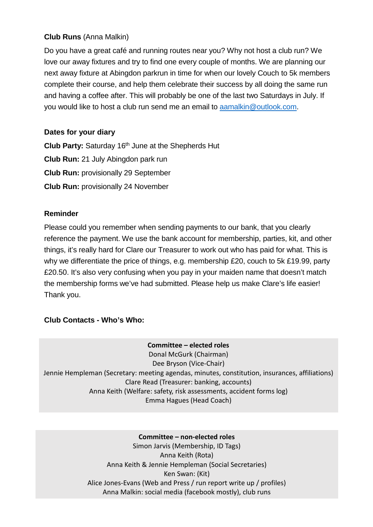# **Club Runs** (Anna Malkin)

Do you have a great café and running routes near you? Why not host a club run? We love our away fixtures and try to find one every couple of months. We are planning our next away fixture at Abingdon parkrun in time for when our lovely Couch to 5k members complete their course, and help them celebrate their success by all doing the same run and having a coffee after. This will probably be one of the last two Saturdays in July. If you would like to host a club run send me an email to aamalkin@outlook.com.

# **Dates for your diary**

**Club Party:** Saturday 16th June at the Shepherds Hut **Club Run:** 21 July Abingdon park run **Club Run:** provisionally 29 September **Club Run:** provisionally 24 November

# **Reminder**

Please could you remember when sending payments to our bank, that you clearly reference the payment. We use the bank account for membership, parties, kit, and other things, it's really hard for Clare our Treasurer to work out who has paid for what. This is why we differentiate the price of things, e.g. membership £20, couch to 5k £19.99, party £20.50. It's also very confusing when you pay in your maiden name that doesn't match the membership forms we've had submitted. Please help us make Clare's life easier! Thank you.

# **Club Contacts - Who's Who:**

# **Committee – elected roles**

Donal McGurk (Chairman) Dee Bryson (Vice-Chair) Jennie Hempleman (Secretary: meeting agendas, minutes, constitution, insurances, affiliations) Clare Read (Treasurer: banking, accounts) Anna Keith (Welfare: safety, risk assessments, accident forms log) Emma Hagues (Head Coach)

#### **Committee – non-elected roles**

Simon Jarvis (Membership, ID Tags) Anna Keith (Rota) Anna Keith & Jennie Hempleman (Social Secretaries) Ken Swan: (Kit) Alice Jones-Evans (Web and Press / run report write up / profiles) Anna Malkin: social media (facebook mostly), club runs